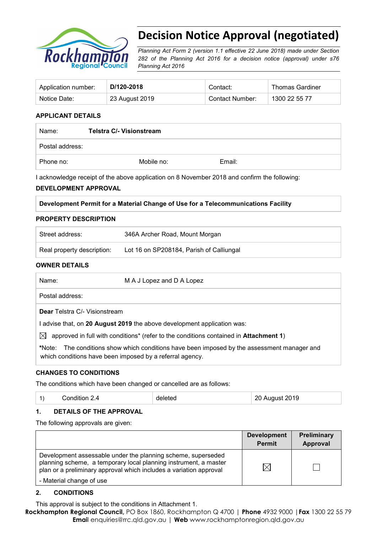

# **Decision Notice Approval (negotiated)**

*Planning Act Form 2 (version 1.1 effective 22 June 2018) made under Section 282 of the Planning Act 2016 for a decision notice (approval) under s76 Planning Act 2016*

| Application number: | D/120-2018     | Contact:        | <b>Thomas Gardiner</b> |
|---------------------|----------------|-----------------|------------------------|
| Notice Date:        | 23 August 2019 | Contact Number: | 1300 22 55 77          |

# **APPLICANT DETAILS**

| Name:           | <b>Telstra C/- Visionstream</b> |        |  |
|-----------------|---------------------------------|--------|--|
| Postal address: |                                 |        |  |
| Phone no:       | Mobile no:                      | Email: |  |

I acknowledge receipt of the above application on 8 November 2018 and confirm the following:

#### **DEVELOPMENT APPROVAL**

#### **Development Permit for a Material Change of Use for a Telecommunications Facility**

#### **PROPERTY DESCRIPTION**

| Street address:            | 346A Archer Road, Mount Morgan           |
|----------------------------|------------------------------------------|
| Real property description: | Lot 16 on SP208184, Parish of Calliungal |

#### **OWNER DETAILS**

| Name:     | M A J Lopez and D A Lopez                                                                                 |
|-----------|-----------------------------------------------------------------------------------------------------------|
|           | Postal address:                                                                                           |
|           | <b>Dear</b> Telstra C/- Visionstream                                                                      |
|           | advise that, on 20 August 2019 the above development application was:                                     |
| $\bowtie$ | approved in full with conditions <sup>*</sup> (refer to the conditions contained in <b>Attachment 1</b> ) |
|           | *Note: The conditions show which conditions have been imposed by the assessment manager and               |

which conditions have been imposed by a referral agency.

# **CHANGES TO CONDITIONS**

The conditions which have been changed or cancelled are as follows:

|  |  | Condition $2.4$ | deleted | 20 August 2019 |
|--|--|-----------------|---------|----------------|
|--|--|-----------------|---------|----------------|

#### **1. DETAILS OF THE APPROVAL**

The following approvals are given:

|                                                                                                                                                                                                        | <b>Development</b><br><b>Permit</b> | <b>Preliminary</b><br>Approval |
|--------------------------------------------------------------------------------------------------------------------------------------------------------------------------------------------------------|-------------------------------------|--------------------------------|
| Development assessable under the planning scheme, superseded<br>planning scheme, a temporary local planning instrument, a master<br>plan or a preliminary approval which includes a variation approval | $\Join$                             |                                |
| - Material change of use                                                                                                                                                                               |                                     |                                |

#### **2. CONDITIONS**

This approval is subject to the conditions in Attachment 1.

**Rockhampton Regional Council,** PO Box 1860, Rockhampton Q 4700 | **Phone** 4932 9000 |**Fax** 1300 22 55 79 **Emai**l enquiries@rrc.qld.gov.au | **Web** www.rockhamptonregion.qld.gov.au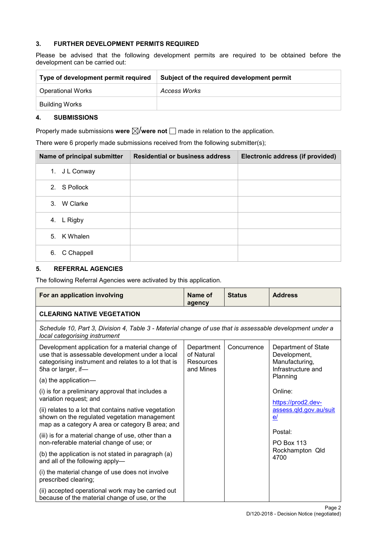# **3. FURTHER DEVELOPMENT PERMITS REQUIRED**

Please be advised that the following development permits are required to be obtained before the development can be carried out:

| Type of development permit required | Subject of the required development permit |
|-------------------------------------|--------------------------------------------|
| <b>Operational Works</b>            | Access Works                               |
| Building Works                      |                                            |

#### **4. SUBMISSIONS**

Properly made submissions were  $\boxtimes$ /were not  $\Box$  made in relation to the application.

There were 6 properly made submissions received from the following submitter(s);

| Name of principal submitter | <b>Residential or business address</b> | Electronic address (if provided) |
|-----------------------------|----------------------------------------|----------------------------------|
| J L Conway<br>1.            |                                        |                                  |
| S Pollock<br>2.             |                                        |                                  |
| W Clarke<br>3.              |                                        |                                  |
| L Rigby<br>4.               |                                        |                                  |
| 5.<br>K Whalen              |                                        |                                  |
| C Chappell<br>6.            |                                        |                                  |

# **5. REFERRAL AGENCIES**

The following Referral Agencies were activated by this application.

| For an application involving                                                                                                                                                       | Name of<br>agency                                                                                        | <b>Status</b> | <b>Address</b>                                                              |
|------------------------------------------------------------------------------------------------------------------------------------------------------------------------------------|----------------------------------------------------------------------------------------------------------|---------------|-----------------------------------------------------------------------------|
| <b>CLEARING NATIVE VEGETATION</b>                                                                                                                                                  |                                                                                                          |               |                                                                             |
| local categorising instrument                                                                                                                                                      | Schedule 10, Part 3, Division 4, Table 3 - Material change of use that is assessable development under a |               |                                                                             |
| Development application for a material change of<br>use that is assessable development under a local<br>categorising instrument and relates to a lot that is<br>5ha or larger, if- | Department<br>of Natural<br>Resources<br>and Mines                                                       | Concurrence   | Department of State<br>Development,<br>Manufacturing,<br>Infrastructure and |
| (a) the application-                                                                                                                                                               |                                                                                                          |               | Planning                                                                    |
| (i) is for a preliminary approval that includes a<br>variation request; and                                                                                                        |                                                                                                          |               | Online:<br>https://prod2.dev-                                               |
| (ii) relates to a lot that contains native vegetation<br>shown on the regulated vegetation management<br>map as a category A area or category B area; and                          |                                                                                                          |               | assess.gld.gov.au/suit<br>e/                                                |
| (iii) is for a material change of use, other than a                                                                                                                                |                                                                                                          |               | Postal:                                                                     |
| non-referable material change of use; or                                                                                                                                           |                                                                                                          |               | <b>PO Box 113</b>                                                           |
| (b) the application is not stated in paragraph (a)<br>and all of the following apply-                                                                                              |                                                                                                          |               | Rockhampton Qld<br>4700                                                     |
| (i) the material change of use does not involve<br>prescribed clearing;                                                                                                            |                                                                                                          |               |                                                                             |
| (ii) accepted operational work may be carried out<br>because of the material change of use, or the                                                                                 |                                                                                                          |               |                                                                             |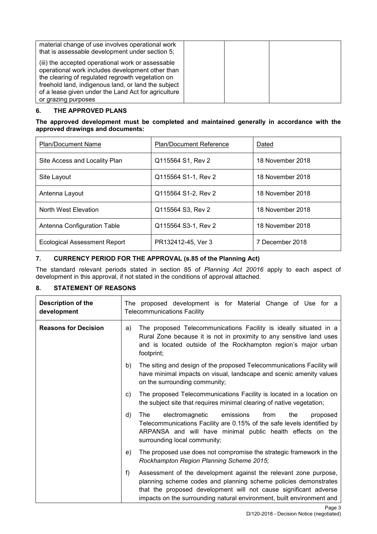| material change of use involves operational work<br>that is assessable development under section 5;                                                                                                                                                                                            |  |
|------------------------------------------------------------------------------------------------------------------------------------------------------------------------------------------------------------------------------------------------------------------------------------------------|--|
| (iii) the accepted operational work or assessable<br>operational work includes development other than<br>the clearing of regulated regrowth vegetation on<br>freehold land, indigenous land, or land the subject<br>of a lease given under the Land Act for agriculture<br>or grazing purposes |  |

# **6. THE APPROVED PLANS**

**The approved development must be completed and maintained generally in accordance with the approved drawings and documents:**

| <b>Plan/Document Name</b>           | <b>Plan/Document Reference</b> | Dated            |
|-------------------------------------|--------------------------------|------------------|
| Site Access and Locality Plan       | Q115564 S1, Rev 2              | 18 November 2018 |
| Site Layout                         | Q115564 S1-1, Rev 2            | 18 November 2018 |
| Antenna Layout                      | Q115564 S1-2, Rev 2            | 18 November 2018 |
| North West Elevation                | Q115564 S3, Rev 2              | 18 November 2018 |
| Antenna Configuration Table         | Q115564 S3-1, Rev 2            | 18 November 2018 |
| <b>Ecological Assessment Report</b> | PR132412-45, Ver 3             | 7 December 2018  |

# **7. CURRENCY PERIOD FOR THE APPROVAL (s.85 of the Planning Act)**

The standard relevant periods stated in section 85 of *Planning Act 20016* apply to each aspect of development in this approval, if not stated in the conditions of approval attached.

# **8. STATEMENT OF REASONS**

| Description of the<br>development |    | The proposed development is for Material Change of Use for a<br><b>Telecommunications Facility</b>                                                                                                                                                                               |
|-----------------------------------|----|----------------------------------------------------------------------------------------------------------------------------------------------------------------------------------------------------------------------------------------------------------------------------------|
| <b>Reasons for Decision</b>       | a) | The proposed Telecommunications Facility is ideally situated in a<br>Rural Zone because it is not in proximity to any sensitive land uses<br>and is located outside of the Rockhampton region's major urban<br>footprint;                                                        |
|                                   | b) | The siting and design of the proposed Telecommunications Facility will<br>have minimal impacts on visual, landscape and scenic amenity values<br>on the surrounding community;                                                                                                   |
|                                   | C) | The proposed Telecommunications Facility is located in a location on<br>the subject site that requires minimal clearing of native vegetation;                                                                                                                                    |
|                                   | d) | The<br>electromagnetic<br>emissions<br>from<br>the<br>proposed<br>Telecommunications Facility are 0.15% of the safe levels identified by<br>ARPANSA and will have minimal public health effects on the<br>surrounding local community;                                           |
|                                   | e) | The proposed use does not compromise the strategic framework in the<br>Rockhampton Region Planning Scheme 2015;                                                                                                                                                                  |
|                                   | f  | Assessment of the development against the relevant zone purpose,<br>planning scheme codes and planning scheme policies demonstrates<br>that the proposed development will not cause significant adverse<br>impacts on the surrounding natural environment, built environment and |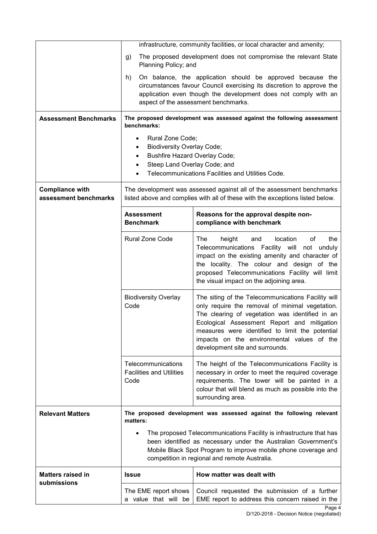|                                                 | infrastructure, community facilities, or local character and amenity;                                                                                                                                                                                                                                                                                                              |                                                                                                                                                                                                                                                                                                 |  |
|-------------------------------------------------|------------------------------------------------------------------------------------------------------------------------------------------------------------------------------------------------------------------------------------------------------------------------------------------------------------------------------------------------------------------------------------|-------------------------------------------------------------------------------------------------------------------------------------------------------------------------------------------------------------------------------------------------------------------------------------------------|--|
|                                                 | The proposed development does not compromise the relevant State                                                                                                                                                                                                                                                                                                                    |                                                                                                                                                                                                                                                                                                 |  |
|                                                 | g)<br>Planning Policy; and                                                                                                                                                                                                                                                                                                                                                         |                                                                                                                                                                                                                                                                                                 |  |
|                                                 | On balance, the application should be approved because the<br>h)                                                                                                                                                                                                                                                                                                                   |                                                                                                                                                                                                                                                                                                 |  |
|                                                 | circumstances favour Council exercising its discretion to approve the<br>application even though the development does not comply with an                                                                                                                                                                                                                                           |                                                                                                                                                                                                                                                                                                 |  |
|                                                 | aspect of the assessment benchmarks.                                                                                                                                                                                                                                                                                                                                               |                                                                                                                                                                                                                                                                                                 |  |
| <b>Assessment Benchmarks</b>                    | benchmarks:                                                                                                                                                                                                                                                                                                                                                                        | The proposed development was assessed against the following assessment                                                                                                                                                                                                                          |  |
|                                                 | Rural Zone Code;<br>$\bullet$                                                                                                                                                                                                                                                                                                                                                      |                                                                                                                                                                                                                                                                                                 |  |
|                                                 | <b>Biodiversity Overlay Code;</b><br>٠                                                                                                                                                                                                                                                                                                                                             |                                                                                                                                                                                                                                                                                                 |  |
|                                                 | <b>Bushfire Hazard Overlay Code;</b><br>Steep Land Overlay Code; and                                                                                                                                                                                                                                                                                                               |                                                                                                                                                                                                                                                                                                 |  |
|                                                 |                                                                                                                                                                                                                                                                                                                                                                                    | Telecommunications Facilities and Utilities Code.                                                                                                                                                                                                                                               |  |
| <b>Compliance with</b><br>assessment benchmarks |                                                                                                                                                                                                                                                                                                                                                                                    | The development was assessed against all of the assessment benchmarks<br>listed above and complies with all of these with the exceptions listed below.                                                                                                                                          |  |
|                                                 | <b>Assessment</b><br><b>Benchmark</b>                                                                                                                                                                                                                                                                                                                                              | Reasons for the approval despite non-<br>compliance with benchmark                                                                                                                                                                                                                              |  |
|                                                 | Rural Zone Code                                                                                                                                                                                                                                                                                                                                                                    | The<br>of<br>height<br>location<br>the<br>and<br>Telecommunications Facility will not<br>unduly<br>impact on the existing amenity and character of<br>the locality. The colour and design of the<br>proposed Telecommunications Facility will limit<br>the visual impact on the adjoining area. |  |
|                                                 | <b>Biodiversity Overlay</b><br>The siting of the Telecommunications Facility will<br>only require the removal of minimal vegetation.<br>Code<br>The clearing of vegetation was identified in an<br>Ecological Assessment Report and mitigation<br>measures were identified to limit the potential<br>impacts on the environmental values of the<br>development site and surrounds. |                                                                                                                                                                                                                                                                                                 |  |
|                                                 | Telecommunications<br>The height of the Telecommunications Facility is<br><b>Facilities and Utilities</b><br>necessary in order to meet the required coverage<br>Code<br>requirements. The tower will be painted in a<br>colour that will blend as much as possible into the<br>surrounding area.                                                                                  |                                                                                                                                                                                                                                                                                                 |  |
| <b>Relevant Matters</b>                         | matters:                                                                                                                                                                                                                                                                                                                                                                           | The proposed development was assessed against the following relevant                                                                                                                                                                                                                            |  |
|                                                 | The proposed Telecommunications Facility is infrastructure that has<br>been identified as necessary under the Australian Government's<br>Mobile Black Spot Program to improve mobile phone coverage and<br>competition in regional and remote Australia.                                                                                                                           |                                                                                                                                                                                                                                                                                                 |  |
| <b>Matters raised in</b>                        | <b>Issue</b>                                                                                                                                                                                                                                                                                                                                                                       | How matter was dealt with                                                                                                                                                                                                                                                                       |  |
| submissions                                     | The EME report shows<br>a value that will be                                                                                                                                                                                                                                                                                                                                       | Council requested the submission of a further<br>EME report to address this concern raised in the                                                                                                                                                                                               |  |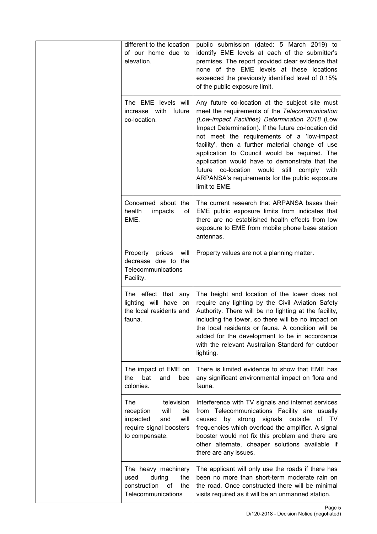| different to the location<br>of our home due to<br>elevation.                                                        | public submission (dated: 5 March 2019) to<br>identify EME levels at each of the submitter's<br>premises. The report provided clear evidence that<br>none of the EME levels at these locations<br>exceeded the previously identified level of 0.15%<br>of the public exposure limit.                                                                                                                                                                                                                                               |
|----------------------------------------------------------------------------------------------------------------------|------------------------------------------------------------------------------------------------------------------------------------------------------------------------------------------------------------------------------------------------------------------------------------------------------------------------------------------------------------------------------------------------------------------------------------------------------------------------------------------------------------------------------------|
| The EME levels will<br>increase with<br>future<br>co-location.                                                       | Any future co-location at the subject site must<br>meet the requirements of the Telecommunication<br>(Low-impact Facilities) Determination 2018 (Low<br>Impact Determination). If the future co-location did<br>not meet the requirements of a 'low-impact<br>facility', then a further material change of use<br>application to Council would be required. The<br>application would have to demonstrate that the<br>future co-location would still comply with<br>ARPANSA's requirements for the public exposure<br>limit to EME. |
| Concerned about the<br>health<br>impacts<br>οf<br>EME.                                                               | The current research that ARPANSA bases their<br>EME public exposure limits from indicates that<br>there are no established health effects from low<br>exposure to EME from mobile phone base station<br>antennas.                                                                                                                                                                                                                                                                                                                 |
| Property prices<br>will<br>decrease due to the<br>Telecommunications<br>Facility.                                    | Property values are not a planning matter.                                                                                                                                                                                                                                                                                                                                                                                                                                                                                         |
| The effect that any<br>lighting will have on<br>the local residents and<br>fauna.                                    | The height and location of the tower does not<br>require any lighting by the Civil Aviation Safety<br>Authority. There will be no lighting at the facility,<br>including the tower, so there will be no impact on<br>the local residents or fauna. A condition will be<br>added for the development to be in accordance<br>with the relevant Australian Standard for outdoor<br>lighting.                                                                                                                                          |
| The impact of EME on<br>the<br>bat<br>and<br>bee<br>colonies.                                                        | There is limited evidence to show that EME has<br>any significant environmental impact on flora and<br>fauna.                                                                                                                                                                                                                                                                                                                                                                                                                      |
| The<br>television<br>will<br>reception<br>be<br>impacted<br>and<br>will<br>require signal boosters<br>to compensate. | Interference with TV signals and internet services<br>from Telecommunications Facility are usually<br>by strong<br>signals outside<br>of TV<br>caused<br>frequencies which overload the amplifier. A signal<br>booster would not fix this problem and there are<br>other alternate, cheaper solutions available if<br>there are any issues.                                                                                                                                                                                        |
| The heavy machinery<br>used<br>the<br>during<br>construction<br>of<br>the<br>Telecommunications                      | The applicant will only use the roads if there has<br>been no more than short-term moderate rain on<br>the road. Once constructed there will be minimal<br>visits required as it will be an unmanned station.                                                                                                                                                                                                                                                                                                                      |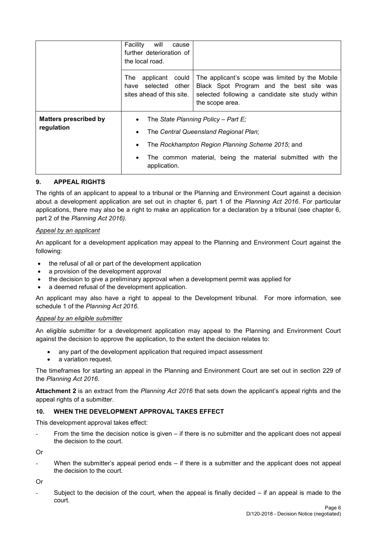|                                            | will<br>Facility<br>cause<br>further deterioration of<br>the local road.           |                                                                                                                                                                    |  |
|--------------------------------------------|------------------------------------------------------------------------------------|--------------------------------------------------------------------------------------------------------------------------------------------------------------------|--|
|                                            | applicant<br>The l<br>could<br>selected other<br>have<br>sites ahead of this site. | The applicant's scope was limited by the Mobile<br>Black Spot Program and the best site was<br>selected following a candidate site study within<br>the scope area. |  |
| <b>Matters prescribed by</b><br>regulation | The State Planning Policy - Part E;                                                |                                                                                                                                                                    |  |
|                                            | The Central Queensland Regional Plan;<br>$\bullet$                                 |                                                                                                                                                                    |  |
|                                            | The Rockhampton Region Planning Scheme 2015; and                                   |                                                                                                                                                                    |  |
|                                            | $\bullet$<br>application.                                                          | The common material, being the material submitted with the                                                                                                         |  |

# **9. APPEAL RIGHTS**

The rights of an applicant to appeal to a tribunal or the Planning and Environment Court against a decision about a development application are set out in chapter 6, part 1 of the *Planning Act 2016*. For particular applications, there may also be a right to make an application for a declaration by a tribunal (see chapter 6, part 2 of the *Planning Act 2016).*

#### *Appeal by an applicant*

An applicant for a development application may appeal to the Planning and Environment Court against the following:

- the refusal of all or part of the development application
- a provision of the development approval
- the decision to give a preliminary approval when a development permit was applied for
- a deemed refusal of the development application.

An applicant may also have a right to appeal to the Development tribunal. For more information, see schedule 1 of the *Planning Act 2016*.

#### *Appeal by an eligible submitter*

An eligible submitter for a development application may appeal to the Planning and Environment Court against the decision to approve the application, to the extent the decision relates to:

- any part of the development application that required impact assessment
- a variation request.

The timeframes for starting an appeal in the Planning and Environment Court are set out in section 229 of the *Planning Act 2016*.

**Attachment 2** is an extract from the *Planning Act 2016* that sets down the applicant's appeal rights and the appeal rights of a submitter.

#### **10. WHEN THE DEVELOPMENT APPROVAL TAKES EFFECT**

This development approval takes effect:

From the time the decision notice is given  $-$  if there is no submitter and the applicant does not appeal the decision to the court.

Or

When the submitter's appeal period ends  $-$  if there is a submitter and the applicant does not appeal the decision to the court.

Or

Subject to the decision of the court, when the appeal is finally decided  $-$  if an appeal is made to the court.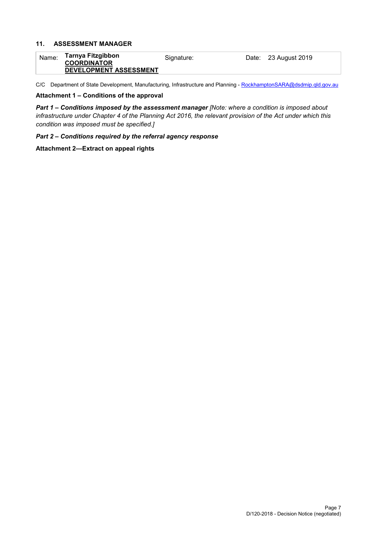#### **11. ASSESSMENT MANAGER**

| Name: | Tarnya Fitzgibbon      | Signature: | Date: 23 August 2019 |
|-------|------------------------|------------|----------------------|
|       | <b>COORDINATOR</b>     |            |                      |
|       | DEVELOPMENT ASSESSMENT |            |                      |

C/C Department of State Development, Manufacturing, Infrastructure and Planning - [RockhamptonSARA@dsdmip.qld.gov.au](mailto:RockhamptonSARA@dsdmip.qld.gov.au)

#### **Attachment 1 – Conditions of the approval**

*Part 1* **–** *Conditions imposed by the assessment manager [Note: where a condition is imposed about infrastructure under Chapter 4 of the Planning Act 2016, the relevant provision of the Act under which this condition was imposed must be specified.]*

*Part 2 – Conditions required by the referral agency response* 

**Attachment 2—Extract on appeal rights**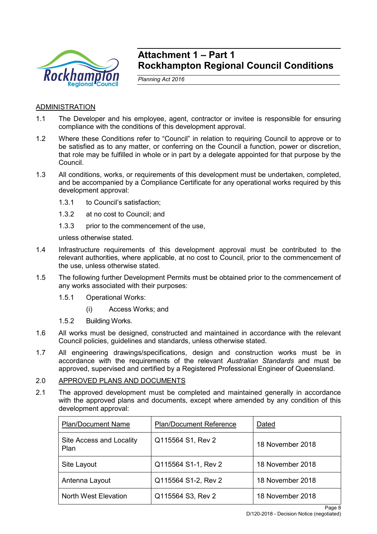

# **Attachment 1 – Part 1 Rockhampton Regional Council Conditions**

*Planning Act 2016*

# ADMINISTRATION

- 1.1 The Developer and his employee, agent, contractor or invitee is responsible for ensuring compliance with the conditions of this development approval.
- 1.2 Where these Conditions refer to "Council" in relation to requiring Council to approve or to be satisfied as to any matter, or conferring on the Council a function, power or discretion, that role may be fulfilled in whole or in part by a delegate appointed for that purpose by the Council.
- 1.3 All conditions, works, or requirements of this development must be undertaken, completed, and be accompanied by a Compliance Certificate for any operational works required by this development approval:
	- 1.3.1 to Council's satisfaction;
	- 1.3.2 at no cost to Council; and
	- 1.3.3 prior to the commencement of the use.

unless otherwise stated.

- 1.4 Infrastructure requirements of this development approval must be contributed to the relevant authorities, where applicable, at no cost to Council, prior to the commencement of the use, unless otherwise stated.
- 1.5 The following further Development Permits must be obtained prior to the commencement of any works associated with their purposes:
	- 1.5.1 Operational Works:
		- (i) Access Works; and
	- 1.5.2 Building Works.
- 1.6 All works must be designed, constructed and maintained in accordance with the relevant Council policies, guidelines and standards, unless otherwise stated.
- 1.7 All engineering drawings/specifications, design and construction works must be in accordance with the requirements of the relevant *Australian Standards* and must be approved, supervised and certified by a Registered Professional Engineer of Queensland.

# 2.0 APPROVED PLANS AND DOCUMENTS

2.1 The approved development must be completed and maintained generally in accordance with the approved plans and documents, except where amended by any condition of this development approval:

| <b>Plan/Document Name</b>        | <b>Plan/Document Reference</b> | Dated            |
|----------------------------------|--------------------------------|------------------|
| Site Access and Locality<br>Plan | Q115564 S1, Rev 2              | 18 November 2018 |
| Site Layout                      | Q115564 S1-1, Rev 2            | 18 November 2018 |
| Antenna Layout                   | Q115564 S1-2, Rev 2            | 18 November 2018 |
| North West Elevation             | Q115564 S3, Rev 2              | 18 November 2018 |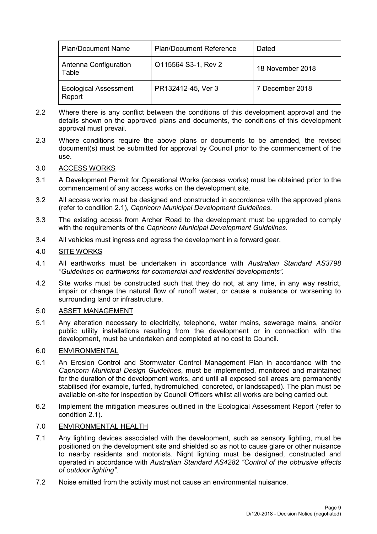| <b>Plan/Document Name</b>              | <b>Plan/Document Reference</b> | Dated            |
|----------------------------------------|--------------------------------|------------------|
| Antenna Configuration<br>Table         | Q115564 S3-1, Rev 2            | 18 November 2018 |
| <b>Ecological Assessment</b><br>Report | PR132412-45, Ver 3             | 7 December 2018  |

- 2.2 Where there is any conflict between the conditions of this development approval and the details shown on the approved plans and documents, the conditions of this development approval must prevail.
- 2.3 Where conditions require the above plans or documents to be amended, the revised document(s) must be submitted for approval by Council prior to the commencement of the use.

# 3.0 ACCESS WORKS

- 3.1 A Development Permit for Operational Works (access works) must be obtained prior to the commencement of any access works on the development site.
- 3.2 All access works must be designed and constructed in accordance with the approved plans (refer to condition 2.1), *Capricorn Municipal Development Guidelines*.
- 3.3 The existing access from Archer Road to the development must be upgraded to comply with the requirements of the *Capricorn Municipal Development Guidelines*.
- 3.4 All vehicles must ingress and egress the development in a forward gear.

# 4.0 SITE WORKS

- 4.1 All earthworks must be undertaken in accordance with *Australian Standard AS3798 "Guidelines on earthworks for commercial and residential developments".*
- 4.2 Site works must be constructed such that they do not, at any time, in any way restrict, impair or change the natural flow of runoff water, or cause a nuisance or worsening to surrounding land or infrastructure.

#### 5.0 ASSET MANAGEMENT

5.1 Any alteration necessary to electricity, telephone, water mains, sewerage mains, and/or public utility installations resulting from the development or in connection with the development, must be undertaken and completed at no cost to Council.

#### 6.0 ENVIRONMENTAL

- 6.1 An Erosion Control and Stormwater Control Management Plan in accordance with the *Capricorn Municipal Design Guidelines*, must be implemented, monitored and maintained for the duration of the development works, and until all exposed soil areas are permanently stabilised (for example, turfed, hydromulched, concreted, or landscaped). The plan must be available on-site for inspection by Council Officers whilst all works are being carried out.
- 6.2 Implement the mitigation measures outlined in the Ecological Assessment Report (refer to condition 2.1).

# 7.0 ENVIRONMENTAL HEALTH

- 7.1 Any lighting devices associated with the development, such as sensory lighting, must be positioned on the development site and shielded so as not to cause glare or other nuisance to nearby residents and motorists. Night lighting must be designed, constructed and operated in accordance with *Australian Standard AS4282 "Control of the obtrusive effects of outdoor lighting"*.
- 7.2 Noise emitted from the activity must not cause an environmental nuisance.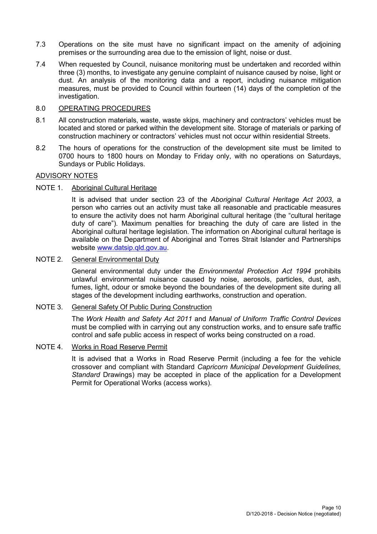- 7.3 Operations on the site must have no significant impact on the amenity of adjoining premises or the surrounding area due to the emission of light, noise or dust.
- 7.4 When requested by Council, nuisance monitoring must be undertaken and recorded within three (3) months, to investigate any genuine complaint of nuisance caused by noise, light or dust. An analysis of the monitoring data and a report, including nuisance mitigation measures, must be provided to Council within fourteen (14) days of the completion of the investigation.

#### 8.0 OPERATING PROCEDURES

- 8.1 All construction materials, waste, waste skips, machinery and contractors' vehicles must be located and stored or parked within the development site. Storage of materials or parking of construction machinery or contractors' vehicles must not occur within residential Streets.
- 8.2 The hours of operations for the construction of the development site must be limited to 0700 hours to 1800 hours on Monday to Friday only, with no operations on Saturdays, Sundays or Public Holidays.

# ADVISORY NOTES

#### NOTE 1. Aboriginal Cultural Heritage

It is advised that under section 23 of the *Aboriginal Cultural Heritage Act 2003*, a person who carries out an activity must take all reasonable and practicable measures to ensure the activity does not harm Aboriginal cultural heritage (the "cultural heritage duty of care"). Maximum penalties for breaching the duty of care are listed in the Aboriginal cultural heritage legislation. The information on Aboriginal cultural heritage is available on the Department of Aboriginal and Torres Strait Islander and Partnerships website [www.datsip.qld.gov.au.](http://www.datsip.qld.gov.au/)

#### NOTE 2. General Environmental Duty

General environmental duty under the *Environmental Protection Act 1994* prohibits unlawful environmental nuisance caused by noise, aerosols, particles, dust, ash, fumes, light, odour or smoke beyond the boundaries of the development site during all stages of the development including earthworks, construction and operation.

#### NOTE 3. General Safety Of Public During Construction

The *Work Health and Safety Act 2011* and *Manual of Uniform Traffic Control Devices* must be complied with in carrying out any construction works, and to ensure safe traffic control and safe public access in respect of works being constructed on a road.

# NOTE 4. Works in Road Reserve Permit

It is advised that a Works in Road Reserve Permit (including a fee for the vehicle crossover and compliant with Standard *Capricorn Municipal Development Guidelines, Standard* Drawings) may be accepted in place of the application for a Development Permit for Operational Works (access works).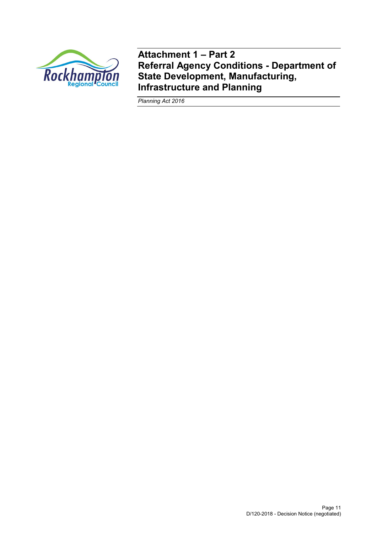

**Attachment 1 – Part 2 Referral Agency Conditions - Department of State Development, Manufacturing, Infrastructure and Planning**

*Planning Act 2016*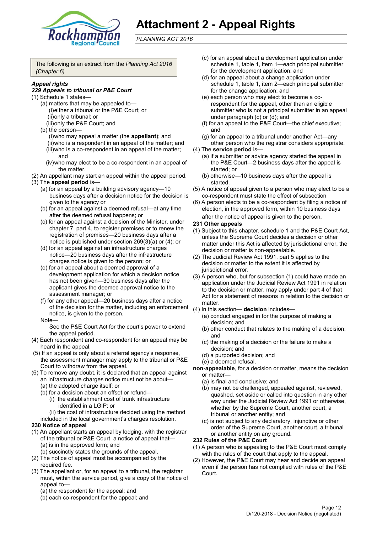

# **Attachment 2 - Appeal Rights**

*PLANNING ACT 2016*

The following is an extract from the *Planning Act 2016 (Chapter 6)*

#### *Appeal rights*

#### *229 Appeals to tribunal or P&E Court*

- (1) Schedule 1 states—
	- (a) matters that may be appealed to— (i)either a tribunal or the P&E Court; or (ii)only a tribunal; or
	- (iii)only the P&E Court; and
	- (b) the person— (i)who may appeal a matter (the **appellant**); and (ii)who is a respondent in an appeal of the matter; and (iii)who is a co-respondent in an appeal of the matter; and
		- (iv)who may elect to be a co-respondent in an appeal of the matter.
- (2) An appellant may start an appeal within the appeal period. (3) The **appeal period** is—
	- (a) for an appeal by a building advisory agency—10 business days after a decision notice for the decision is given to the agency or
	- (b) for an appeal against a deemed refusal—at any time after the deemed refusal happens; or
	- (c) for an appeal against a decision of the Minister, under chapter 7, part 4, to register premises or to renew the registration of premises—20 business days after a notice is published under section 269(3)(a) or (4); or
	- (d) for an appeal against an infrastructure charges notice—20 business days after the infrastructure charges notice is given to the person; or
	- (e) for an appeal about a deemed approval of a development application for which a decision notice has not been given—30 business days after the applicant gives the deemed approval notice to the assessment manager; or
	- (f) for any other appeal—20 business days after a notice of the decision for the matter, including an enforcement notice, is given to the person.

#### Note—

See the P&E Court Act for the court's power to extend the appeal period.

- (4) Each respondent and co-respondent for an appeal may be heard in the appeal.
- (5) If an appeal is only about a referral agency's response, the assessment manager may apply to the tribunal or P&E Court to withdraw from the appeal.
- (6) To remove any doubt, it is declared that an appeal against an infrastructure charges notice must not be about—
	- (a) the adopted charge itself; or
	- (b) for a decision about an offset or refund—
		- (i) the establishment cost of trunk infrastructure identified in a LGIP; or

(ii) the cost of infrastructure decided using the method included in the local government's charges resolution.

# **230 Notice of appeal**

- (1) An appellant starts an appeal by lodging, with the registrar of the tribunal or P&E Court, a notice of appeal that—
	- (a) is in the approved form; and
	- (b) succinctly states the grounds of the appeal.
- (2) The notice of appeal must be accompanied by the required fee.
- (3) The appellant or, for an appeal to a tribunal, the registrar must, within the service period, give a copy of the notice of appeal to—
	- (a) the respondent for the appeal; and
	- (b) each co-respondent for the appeal; and
- (c) for an appeal about a development application under schedule 1, table 1, item 1—each principal submitter for the development application; and
- (d) for an appeal about a change application under schedule 1, table 1, item 2—each principal submitter for the change application; and
- (e) each person who may elect to become a corespondent for the appeal, other than an eligible submitter who is not a principal submitter in an appeal under paragraph (c) or (d); and
- (f) for an appeal to the P&E Court—the chief executive; and
- (g) for an appeal to a tribunal under another Act—any other person who the registrar considers appropriate.
- (4) The **service period** is—
	- (a) if a submitter or advice agency started the appeal in the P&E Court—2 business days after the appeal is started; or
	- (b) otherwise—10 business days after the appeal is started.
- (5) A notice of appeal given to a person who may elect to be a co-respondent must state the effect of subsection
- (6) A person elects to be a co-respondent by filing a notice of election, in the approved form, within 10 business days after the notice of appeal is given to the person*.*

#### **231 Other appeals**

- (1) Subject to this chapter, schedule 1 and the P&E Court Act, unless the Supreme Court decides a decision or other matter under this Act is affected by jurisdictional error, the decision or matter is non-appealable.
- (2) The Judicial Review Act 1991, part 5 applies to the decision or matter to the extent it is affected by jurisdictional error.
- (3) A person who, but for subsection (1) could have made an application under the Judicial Review Act 1991 in relation to the decision or matter, may apply under part 4 of that Act for a statement of reasons in relation to the decision or matter.
- (4) In this section— **decision** includes—
	- (a) conduct engaged in for the purpose of making a decision; and
	- (b) other conduct that relates to the making of a decision; and
	- (c) the making of a decision or the failure to make a decision; and
	- (d) a purported decision; and
	- (e) a deemed refusal.
- **non-appealable**, for a decision or matter, means the decision or matter—
	- (a) is final and conclusive; and
	- (b) may not be challenged, appealed against, reviewed, quashed, set aside or called into question in any other way under the Judicial Review Act 1991 or otherwise, whether by the Supreme Court, another court, a tribunal or another entity; and
	- (c) is not subject to any declaratory, injunctive or other order of the Supreme Court, another court, a tribunal or another entity on any ground.

#### **232 Rules of the P&E Court**

- (1) A person who is appealing to the P&E Court must comply with the rules of the court that apply to the appeal.
- (2) However, the P&E Court may hear and decide an appeal even if the person has not complied with rules of the P&E Court.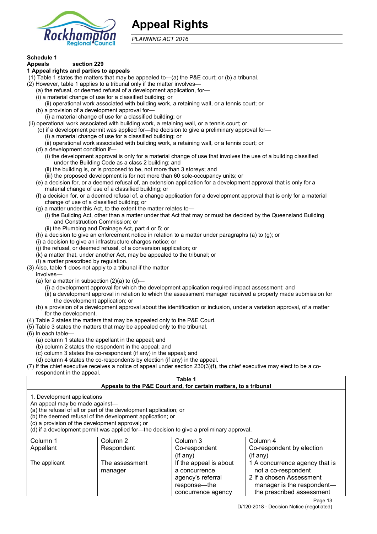

# **Appeal Rights**

*PLANNING ACT 2016*

# **Schedule 1**

#### **Appeals section 229 1 Appeal rights and parties to appeals**

- (1) Table 1 states the matters that may be appealed to—(a) the P&E court; or (b) a tribunal.
- (2) However, table 1 applies to a tribunal only if the matter involves—
	- (a) the refusal, or deemed refusal of a development application, for—
	- (i) a material change of use for a classified building; or
	- (ii) operational work associated with building work, a retaining wall, or a tennis court; or (b) a provision of a development approval for—
	- (i) a material change of use for a classified building; or
- (ii) operational work associated with building work, a retaining wall, or a tennis court; or
	- (c) if a development permit was applied for—the decision to give a preliminary approval for—
		- (i) a material change of use for a classified building; or
		- (ii) operational work associated with building work, a retaining wall, or a tennis court; or
	- (d) a development condition if—
		- (i) the development approval is only for a material change of use that involves the use of a building classified under the Building Code as a class 2 building; and
		- (ii) the building is, or is proposed to be, not more than 3 storeys; and
		- (iii) the proposed development is for not more than 60 sole-occupancy units; or
	- (e) a decision for, or a deemed refusal of, an extension application for a development approval that is only for a material change of use of a classified building; or
	- (f) a decision for, or a deemed refusal of, a change application for a development approval that is only for a material change of use of a classified building; or
	- (g) a matter under this Act, to the extent the matter relates to—
		- (i) the Building Act, other than a matter under that Act that may or must be decided by the Queensland Building and Construction Commission; or
			- (ii) the Plumbing and Drainage Act, part 4 or 5; or
	- (h) a decision to give an enforcement notice in relation to a matter under paragraphs (a) to (g); or
	- (i) a decision to give an infrastructure charges notice; or
	- (j) the refusal, or deemed refusal, of a conversion application; or
	- (k) a matter that, under another Act, may be appealed to the tribunal; or
	- (l) a matter prescribed by regulation.
- (3) Also, table 1 does not apply to a tribunal if the matter
- involves—
	- (a) for a matter in subsection  $(2)(a)$  to  $(d)$ -
		- (i) a development approval for which the development application required impact assessment; and
		- (ii) a development approval in relation to which the assessment manager received a properly made submission for the development application; or
	- (b) a provision of a development approval about the identification or inclusion, under a variation approval, of a matter for the development.
- (4) Table 2 states the matters that may be appealed only to the P&E Court.
- (5) Table 3 states the matters that may be appealed only to the tribunal.
- (6) In each table—
	- (a) column 1 states the appellant in the appeal; and
	- (b) column 2 states the respondent in the appeal; and
	- (c) column 3 states the co-respondent (if any) in the appeal; and
	- (d) column 4 states the co-respondents by election (if any) in the appeal.
- (7) If the chief executive receives a notice of appeal under section 230(3)(f), the chief executive may elect to be a corespondent in the appeal.

# **Table 1**

# **Appeals to the P&E Court and, for certain matters, to a tribunal**

1. Development applications

An appeal may be made against—

(a) the refusal of all or part of the development application; or

(b) the deemed refusal of the development application; or

(c) a provision of the development approval; or

(d) if a development permit was applied for—the decision to give a preliminary approval.

| Column 1      | Column 2                  | Column 3                                                                                           | Column 4                                                                                                                                     |
|---------------|---------------------------|----------------------------------------------------------------------------------------------------|----------------------------------------------------------------------------------------------------------------------------------------------|
| Appellant     | Respondent                | Co-respondent                                                                                      | Co-respondent by election                                                                                                                    |
|               |                           | $($ if any $)$                                                                                     | (if any)                                                                                                                                     |
| The applicant | The assessment<br>manager | If the appeal is about<br>a concurrence<br>agency's referral<br>response—the<br>concurrence agency | 1 A concurrence agency that is<br>not a co-respondent<br>2 If a chosen Assessment<br>manager is the respondent-<br>the prescribed assessment |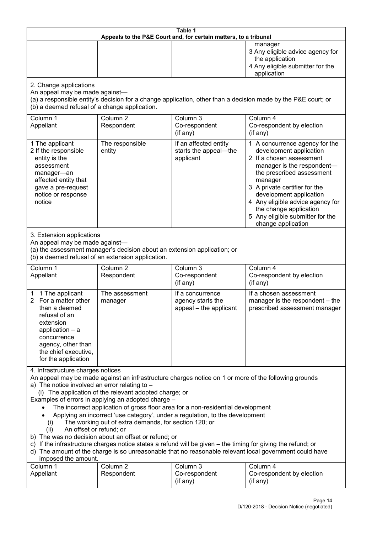| Table 1<br>Appeals to the P&E Court and, for certain matters, to a tribunal                                                                                                                                                                                                                                                                                                                                                                                                                                                                                                                                                                                                                                                                                                                                                                                                               |                                                                                                                               |                                                                 |                                                                                                                                                                                                                                                                                                                                                 |  |
|-------------------------------------------------------------------------------------------------------------------------------------------------------------------------------------------------------------------------------------------------------------------------------------------------------------------------------------------------------------------------------------------------------------------------------------------------------------------------------------------------------------------------------------------------------------------------------------------------------------------------------------------------------------------------------------------------------------------------------------------------------------------------------------------------------------------------------------------------------------------------------------------|-------------------------------------------------------------------------------------------------------------------------------|-----------------------------------------------------------------|-------------------------------------------------------------------------------------------------------------------------------------------------------------------------------------------------------------------------------------------------------------------------------------------------------------------------------------------------|--|
|                                                                                                                                                                                                                                                                                                                                                                                                                                                                                                                                                                                                                                                                                                                                                                                                                                                                                           |                                                                                                                               |                                                                 | manager<br>3 Any eligible advice agency for<br>the application<br>4 Any eligible submitter for the<br>application                                                                                                                                                                                                                               |  |
| 2. Change applications<br>An appeal may be made against-<br>(b) a deemed refusal of a change application.                                                                                                                                                                                                                                                                                                                                                                                                                                                                                                                                                                                                                                                                                                                                                                                 |                                                                                                                               |                                                                 | (a) a responsible entity's decision for a change application, other than a decision made by the P&E court; or                                                                                                                                                                                                                                   |  |
| Column 1<br>Appellant                                                                                                                                                                                                                                                                                                                                                                                                                                                                                                                                                                                                                                                                                                                                                                                                                                                                     | Column <sub>2</sub><br>Respondent                                                                                             | Column 3<br>Co-respondent<br>(if any)                           | Column 4<br>Co-respondent by election<br>(if any)                                                                                                                                                                                                                                                                                               |  |
| 1 The applicant<br>2 If the responsible<br>entity is the<br>assessment<br>manager-an<br>affected entity that<br>gave a pre-request<br>notice or response<br>notice                                                                                                                                                                                                                                                                                                                                                                                                                                                                                                                                                                                                                                                                                                                        | The responsible<br>entity                                                                                                     | If an affected entity<br>starts the appeal-the<br>applicant     | 1 A concurrence agency for the<br>development application<br>2 If a chosen assessment<br>manager is the respondent-<br>the prescribed assessment<br>manager<br>3 A private certifier for the<br>development application<br>4 Any eligible advice agency for<br>the change application<br>5 Any eligible submitter for the<br>change application |  |
| 3. Extension applications<br>An appeal may be made against-                                                                                                                                                                                                                                                                                                                                                                                                                                                                                                                                                                                                                                                                                                                                                                                                                               | (a) the assessment manager's decision about an extension application; or<br>(b) a deemed refusal of an extension application. |                                                                 |                                                                                                                                                                                                                                                                                                                                                 |  |
| Column 1<br>Appellant                                                                                                                                                                                                                                                                                                                                                                                                                                                                                                                                                                                                                                                                                                                                                                                                                                                                     | Column <sub>2</sub><br>Respondent                                                                                             | Column 3<br>Co-respondent<br>(if any)                           | Column 4<br>Co-respondent by election<br>$($ if any $)$                                                                                                                                                                                                                                                                                         |  |
| 1 The applicant<br>1<br>For a matter other<br>2<br>than a deemed<br>refusal of an<br>extension<br>application $-$ a<br>concurrence<br>agency, other than<br>the chief executive,<br>for the application                                                                                                                                                                                                                                                                                                                                                                                                                                                                                                                                                                                                                                                                                   | The assessment<br>manager                                                                                                     | If a concurrence<br>agency starts the<br>appeal - the applicant | If a chosen assessment<br>manager is the respondent – the<br>prescribed assessment manager                                                                                                                                                                                                                                                      |  |
| 4. Infrastructure charges notices<br>An appeal may be made against an infrastructure charges notice on 1 or more of the following grounds<br>a) The notice involved an error relating to -<br>(i) The application of the relevant adopted charge; or<br>Examples of errors in applying an adopted charge -<br>The incorrect application of gross floor area for a non-residential development<br>Applying an incorrect 'use category', under a regulation, to the development<br>The working out of extra demands, for section 120; or<br>(i)<br>An offset or refund; or<br>(ii)<br>b) The was no decision about an offset or refund; or<br>c) If the infrastructure charges notice states a refund will be given – the timing for giving the refund; or<br>d) The amount of the charge is so unreasonable that no reasonable relevant local government could have<br>imposed the amount. |                                                                                                                               |                                                                 |                                                                                                                                                                                                                                                                                                                                                 |  |
| Column 1<br>Appellant                                                                                                                                                                                                                                                                                                                                                                                                                                                                                                                                                                                                                                                                                                                                                                                                                                                                     | Column <sub>2</sub><br>Respondent                                                                                             | Column 3<br>Co-respondent<br>(if any)                           | Column 4<br>Co-respondent by election<br>(if any)                                                                                                                                                                                                                                                                                               |  |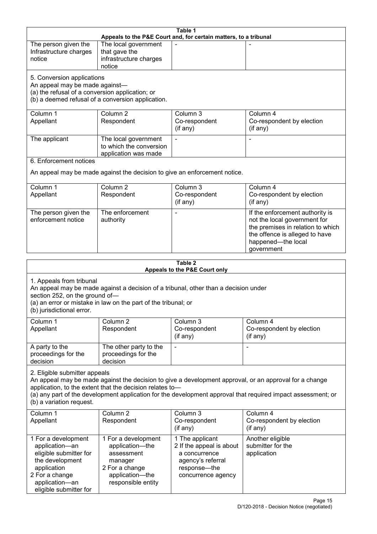| Table 1<br>Appeals to the P&E Court and, for certain matters, to a tribunal                                                                                                    |                                                                                                                                                       |                                       |                                                                                                                                                                                                                        |  |
|--------------------------------------------------------------------------------------------------------------------------------------------------------------------------------|-------------------------------------------------------------------------------------------------------------------------------------------------------|---------------------------------------|------------------------------------------------------------------------------------------------------------------------------------------------------------------------------------------------------------------------|--|
| The person given the<br>Infrastructure charges<br>notice                                                                                                                       | The local government<br>that gave the<br>infrastructure charges                                                                                       |                                       |                                                                                                                                                                                                                        |  |
| notice<br>5. Conversion applications<br>An appeal may be made against-<br>(a) the refusal of a conversion application; or<br>(b) a deemed refusal of a conversion application. |                                                                                                                                                       |                                       |                                                                                                                                                                                                                        |  |
| Column 1<br>Appellant                                                                                                                                                          | Column <sub>2</sub><br>Respondent                                                                                                                     | Column 3<br>Co-respondent<br>(if any) | Column 4<br>Co-respondent by election<br>(if any)                                                                                                                                                                      |  |
| The applicant                                                                                                                                                                  | The local government<br>to which the conversion<br>application was made                                                                               | $\blacksquare$                        |                                                                                                                                                                                                                        |  |
| 6. Enforcement notices                                                                                                                                                         | An appeal may be made against the decision to give an enforcement notice.                                                                             |                                       |                                                                                                                                                                                                                        |  |
| Column <sub>1</sub><br>Appellant                                                                                                                                               | Column <sub>2</sub><br>Respondent                                                                                                                     | Column 3<br>Co-respondent<br>(if any) | Column 4<br>Co-respondent by election<br>(if any)                                                                                                                                                                      |  |
| The person given the<br>enforcement notice                                                                                                                                     | The enforcement<br>authority                                                                                                                          |                                       | If the enforcement authority is<br>not the local government for<br>the premises in relation to which<br>the offence is alleged to have<br>happened-the local<br>government                                             |  |
| Table 2                                                                                                                                                                        |                                                                                                                                                       |                                       |                                                                                                                                                                                                                        |  |
|                                                                                                                                                                                |                                                                                                                                                       |                                       |                                                                                                                                                                                                                        |  |
| 1. Appeals from tribunal<br>section 252, on the ground of-<br>(b) jurisdictional error.                                                                                        | An appeal may be made against a decision of a tribunal, other than a decision under<br>(a) an error or mistake in law on the part of the tribunal; or | Appeals to the P&E Court only         |                                                                                                                                                                                                                        |  |
| Column 1<br>Appellant                                                                                                                                                          | Column <sub>2</sub><br>Respondent                                                                                                                     | Column 3<br>Co-respondent<br>(if any) | Column 4<br>Co-respondent by election<br>(if any)                                                                                                                                                                      |  |
| A party to the<br>proceedings for the<br>decision                                                                                                                              | The other party to the<br>proceedings for the<br>decision                                                                                             |                                       | $\qquad \qquad \blacksquare$                                                                                                                                                                                           |  |
| 2. Eligible submitter appeals<br>(b) a variation request.                                                                                                                      | application, to the extent that the decision relates to-                                                                                              |                                       | An appeal may be made against the decision to give a development approval, or an approval for a change<br>(a) any part of the development application for the development approval that required impact assessment; or |  |
| Column 1<br>Appellant                                                                                                                                                          | Column <sub>2</sub><br>Respondent                                                                                                                     | Column 3<br>Co-respondent<br>(if any) | Column 4<br>Co-respondent by election<br>(if any)                                                                                                                                                                      |  |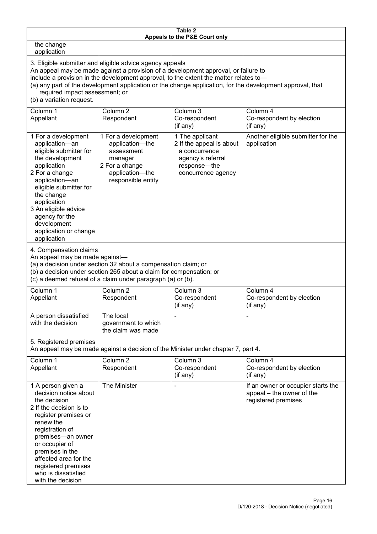| Table 2<br>Appeals to the P&E Court only                                                                                                                                                                                                                                                                                                                                                                           |                                                                                                                                                                                                      |                                                                                                                         |                                                                                        |  |
|--------------------------------------------------------------------------------------------------------------------------------------------------------------------------------------------------------------------------------------------------------------------------------------------------------------------------------------------------------------------------------------------------------------------|------------------------------------------------------------------------------------------------------------------------------------------------------------------------------------------------------|-------------------------------------------------------------------------------------------------------------------------|----------------------------------------------------------------------------------------|--|
| the change<br>application                                                                                                                                                                                                                                                                                                                                                                                          |                                                                                                                                                                                                      |                                                                                                                         |                                                                                        |  |
| 3. Eligible submitter and eligible advice agency appeals<br>An appeal may be made against a provision of a development approval, or failure to<br>include a provision in the development approval, to the extent the matter relates to-<br>(a) any part of the development application or the change application, for the development approval, that<br>required impact assessment; or<br>(b) a variation request. |                                                                                                                                                                                                      |                                                                                                                         |                                                                                        |  |
| Column 1<br>Appellant                                                                                                                                                                                                                                                                                                                                                                                              | Column <sub>2</sub><br>Respondent                                                                                                                                                                    | Column 3<br>Co-respondent<br>(if any)                                                                                   | Column 4<br>Co-respondent by election<br>(if any)                                      |  |
| 1 For a development<br>application-an<br>eligible submitter for<br>the development<br>application<br>2 For a change<br>application-an<br>eligible submitter for<br>the change<br>application<br>3 An eligible advice<br>agency for the<br>development<br>application or change<br>application                                                                                                                      | 1 For a development<br>application-the<br>assessment<br>manager<br>2 For a change<br>application-the<br>responsible entity                                                                           | 1 The applicant<br>2 If the appeal is about<br>a concurrence<br>agency's referral<br>response-the<br>concurrence agency | Another eligible submitter for the<br>application                                      |  |
| 4. Compensation claims<br>An appeal may be made against-                                                                                                                                                                                                                                                                                                                                                           | (a) a decision under section 32 about a compensation claim; or<br>(b) a decision under section 265 about a claim for compensation; or<br>(c) a deemed refusal of a claim under paragraph (a) or (b). |                                                                                                                         |                                                                                        |  |
| Column 1<br>Appellant                                                                                                                                                                                                                                                                                                                                                                                              | Column <sub>2</sub><br>Respondent                                                                                                                                                                    | Column 3<br>Co-respondent<br>(if any)                                                                                   | Column 4<br>Co-respondent by election<br>(if any)                                      |  |
| A person dissatisfied<br>with the decision                                                                                                                                                                                                                                                                                                                                                                         | The local<br>government to which<br>the claim was made                                                                                                                                               |                                                                                                                         |                                                                                        |  |
| 5. Registered premises                                                                                                                                                                                                                                                                                                                                                                                             |                                                                                                                                                                                                      | An appeal may be made against a decision of the Minister under chapter 7, part 4.                                       |                                                                                        |  |
| Column 1<br>Appellant                                                                                                                                                                                                                                                                                                                                                                                              | Column <sub>2</sub><br>Respondent                                                                                                                                                                    | Column 3<br>Co-respondent<br>(if any)                                                                                   | Column 4<br>Co-respondent by election<br>(if any)                                      |  |
| 1 A person given a<br>decision notice about<br>the decision<br>2 If the decision is to<br>register premises or<br>renew the<br>registration of<br>premises-an owner<br>or occupier of<br>premises in the<br>affected area for the<br>registered premises<br>who is dissatisfied<br>with the decision                                                                                                               | The Minister                                                                                                                                                                                         |                                                                                                                         | If an owner or occupier starts the<br>appeal – the owner of the<br>registered premises |  |